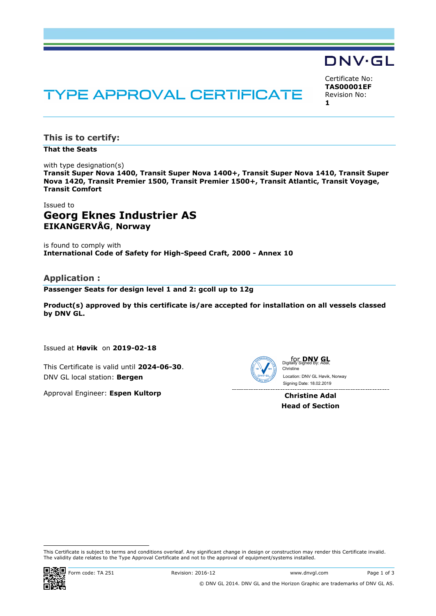# **TYPE APPROVAL CERTIFICATE**

Certificate No: **TAS00001EF** Revision No: **1**

**DNV·GL** 

**This is to certify:**

**That the Seats**

with type designation(s) **Transit Super Nova 1400, Transit Super Nova 1400+, Transit Super Nova 1410, Transit Super Nova 1420, Transit Premier 1500, Transit Premier 1500+, Transit Atlantic, Transit Voyage, Transit Comfort**

## Issued to **Georg Eknes Industrier AS EIKANGERVÅG**, **Norway**

is found to comply with **International Code of Safety for High-Speed Craft, 2000 - Annex 10**

## **Application :**

**Passenger Seats for design level 1 and 2: gcoll up to 12g**

**Product(s) approved by this certificate is/are accepted for installation on all vessels classed by DNV GL.**

Issued at **Høvik** on **2019-02-18**

This Certificate is valid until **2024-06-30**. DNV GL local station: **Bergen**

Approval Engineer: **Espen Kultorp**



for **DNV GL** Digitally Signed By: Adal, Christine Location: DNV GL Høvik, Norway

**Christine Adal Head of Section**

j This Certificate is subject to terms and conditions overleaf. Any significant change in design or construction may render this Certificate invalid. The validity date relates to the Type Approval Certificate and not to the approval of equipment/systems installed.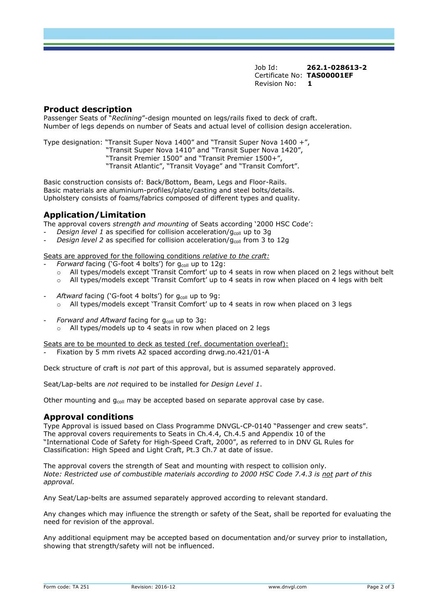Job Id: **262.1-028613-2** Certificate No: **TAS00001EF** Revision No: **1**

#### **Product description**

Passenger Seats of "*Reclining*"-design mounted on legs/rails fixed to deck of craft. Number of legs depends on number of Seats and actual level of collision design acceleration.

Type designation: "Transit Super Nova 1400" and "Transit Super Nova 1400 +",

- "Transit Super Nova 1410" and "Transit Super Nova 1420",
	- "Transit Premier 1500" and "Transit Premier 1500+",

"Transit Atlantic", "Transit Voyage" and "Transit Comfort".

Basic construction consists of: Back/Bottom, Beam, Legs and Floor-Rails. Basic materials are aluminium-profiles/plate/casting and steel bolts/details. Upholstery consists of foams/fabrics composed of different types and quality.

## **Application/Limitation**

The approval covers *strength and mounting* of Seats according '2000 HSC Code':

- *Design level 1* as specified for collision acceleration/g<sub>coll</sub> up to 3g
- *Design level 2* as specified for collision acceleration/g<sub>coll</sub> from 3 to 12g

Seats are approved for the following conditions *relative to the craft:* 

- *Forward* facing ('G-foot 4 bolts') for g<sub>coll</sub> up to 12g:
	- o All types/models except 'Transit Comfort' up to 4 seats in row when placed on 2 legs without belt
	- o All types/models except 'Transit Comfort' up to 4 seats in row when placed on 4 legs with belt
- Aftward facing ('G-foot 4 bolts') for g<sub>coll</sub> up to 9g:  $\circ$  All types/models except 'Transit Comfort' up to 4 seats in row when placed on 3 legs
- *Forward and Aftward* facing for g<sub>coll</sub> up to 3g:
	- o All types/models up to 4 seats in row when placed on 2 legs

Seats are to be mounted to deck as tested (ref. documentation overleaf):

*-* Fixation by 5 mm rivets A2 spaced according drwg.no.421/01-A

Deck structure of craft is *not* part of this approval, but is assumed separately approved.

Seat/Lap-belts are *not* required to be installed for *Design Level 1*.

Other mounting and  $q_{coll}$  may be accepted based on separate approval case by case.

## **Approval conditions**

Type Approval is issued based on Class Programme DNVGL-CP-0140 "Passenger and crew seats". The approval covers requirements to Seats in Ch.4.4, Ch.4.5 and Appendix 10 of the "International Code of Safety for High-Speed Craft, 2000", as referred to in DNV GL Rules for Classification: High Speed and Light Craft, Pt.3 Ch.7 at date of issue.

The approval covers the strength of Seat and mounting with respect to collision only. *Note: Restricted use of combustible materials according to 2000 HSC Code 7.4.3 is not part of this approval.*

Any Seat/Lap-belts are assumed separately approved according to relevant standard.

Any changes which may influence the strength or safety of the Seat, shall be reported for evaluating the need for revision of the approval.

Any additional equipment may be accepted based on documentation and/or survey prior to installation, showing that strength/safety will not be influenced.